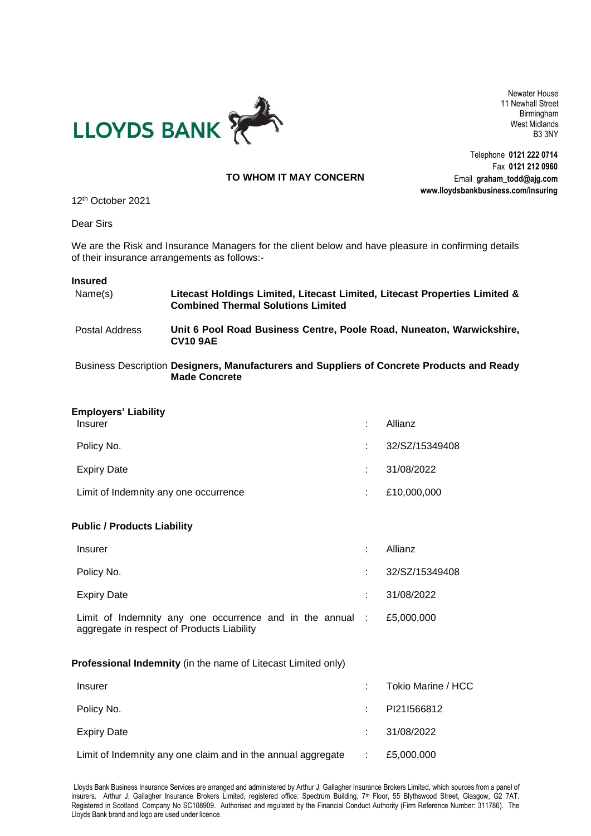

Newater House 11 Newhall Street Birmingham West Midlands B3 3NY

Telephone **0121 222 0714** Fax **0121 212 0960**

Email **graham\_todd@ajg.com www.lloydsbankbusiness.com/insuring TO WHOM IT MAY CONCERN**

12 th October 2021

Dear Sirs

We are the Risk and Insurance Managers for the client below and have pleasure in confirming details of their insurance arrangements as follows:-

## **Insured**

| Name(s)        | Litecast Holdings Limited, Litecast Limited, Litecast Properties Limited &<br><b>Combined Thermal Solutions Limited</b> |
|----------------|-------------------------------------------------------------------------------------------------------------------------|
| Postal Address | Unit 6 Pool Road Business Centre, Poole Road, Nuneaton, Warwickshire,<br><b>CV10 9AE</b>                                |

Business Description **Designers, Manufacturers and Suppliers of Concrete Products and Ready Made Concrete**

| <b>Employers' Liability</b>                                                                             |   |                    |  |
|---------------------------------------------------------------------------------------------------------|---|--------------------|--|
| <b>Insurer</b>                                                                                          | ÷ | Allianz            |  |
| Policy No.                                                                                              | ÷ | 32/SZ/15349408     |  |
| <b>Expiry Date</b>                                                                                      | ÷ | 31/08/2022         |  |
| Limit of Indemnity any one occurrence                                                                   | ÷ | £10,000,000        |  |
| <b>Public / Products Liability</b>                                                                      |   |                    |  |
| <b>Insurer</b>                                                                                          | ÷ | Allianz            |  |
| Policy No.                                                                                              |   | 32/SZ/15349408     |  |
| <b>Expiry Date</b>                                                                                      | ÷ | 31/08/2022         |  |
| Limit of Indemnity any one occurrence and in the annual :<br>aggregate in respect of Products Liability |   | £5,000,000         |  |
| Professional Indemnity (in the name of Litecast Limited only)                                           |   |                    |  |
| <b>Insurer</b>                                                                                          |   | Tokio Marine / HCC |  |
| Policy No.                                                                                              |   | PI21I566812        |  |
| <b>Expiry Date</b>                                                                                      |   | 31/08/2022         |  |

Limit of Indemnity any one claim and in the annual aggregate : £5,000,000